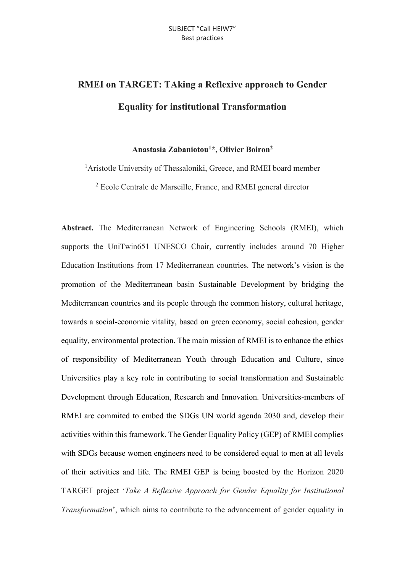## **RMEI on TARGET: TAking a Reflexive approach to Gender Equality for institutional Transformation**

## **Anastasia Zabaniotou<sup>1</sup>\*, Olivier Boiron<sup>2</sup>**

<sup>1</sup>Aristotle University of Thessaloniki, Greece, and RMEI board member

<sup>2</sup> Ecole Centrale de Marseille, France, and RMEI general director

**Abstract.** The Mediterranean Network of Engineering Schools (RMEI), which supports the UniTwin651 UNESCO Chair, currently includes around 70 Higher Education Institutions from 17 Mediterranean countries. The network's vision is the promotion of the Mediterranean basin Sustainable Development by bridging the Mediterranean countries and its people through the common history, cultural heritage, towards a social-economic vitality, based on green economy, social cohesion, gender equality, environmental protection. The main mission of RMEI is to enhance the ethics of responsibility of Mediterranean Youth through Education and Culture, since Universities play a key role in contributing to social transformation and Sustainable Development through Education, Research and Innovation. Universities-members of RMEI are commited to embed the SDGs UN world agenda 2030 and, develop their activities within this framework. The Gender Equality Policy (GEP) of RMEI complies with SDGs because women engineers need to be considered equal to men at all levels of their activities and life. The RMEI GEP is being boosted by the Horizon 2020 TARGET project '*Take A Reflexive Approach for Gender Equality for Institutional Transformation*', which aims to contribute to the advancement of gender equality in